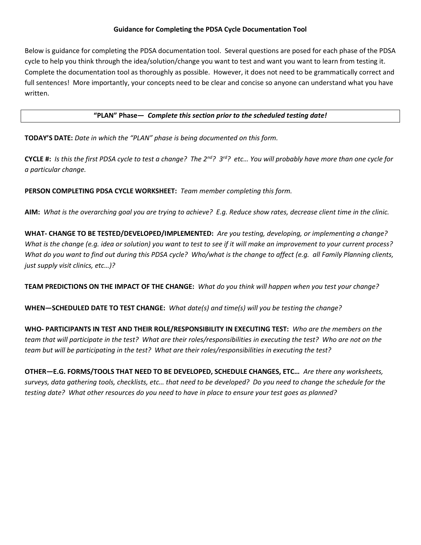## Guidance for Completing the PDSA Cycle Documentation Tool

Below is guidance for completing the PDSA documentation tool. Several questions are posed for each phase of the PDSA cycle to help you think through the idea/solution/change you want to test and want you want to learn from testing it. Complete the documentation tool as thoroughly as possible. However, it does not need to be grammatically correct and full sentences! More importantly, your concepts need to be clear and concise so anyone can understand what you have written.

## "PLAN" Phase— Complete this section prior to the scheduled testing date!

TODAY'S DATE: Date in which the "PLAN" phase is being documented on this form.

CYCLE #: Is this the first PDSA cycle to test a change? The  $2^{nd}$ ?  $3^{rd}$ ? etc... You will probably have more than one cycle for a particular change.

PERSON COMPLETING PDSA CYCLE WORKSHEET: Team member completing this form.

AIM: What is the overarching goal you are trying to achieve? E.g. Reduce show rates, decrease client time in the clinic.

WHAT- CHANGE TO BE TESTED/DEVELOPED/IMPLEMENTED: Are you testing, developing, or implementing a change? What is the change (e.g. idea or solution) you want to test to see if it will make an improvement to your current process? What do you want to find out during this PDSA cycle? Who/what is the change to affect (e.g. all Family Planning clients, just supply visit clinics, etc…)?

TEAM PREDICTIONS ON THE IMPACT OF THE CHANGE: What do you think will happen when you test your change?

WHEN-SCHEDULED DATE TO TEST CHANGE: What date(s) and time(s) will you be testing the change?

WHO- PARTICIPANTS IN TEST AND THEIR ROLE/RESPONSIBILITY IN EXECUTING TEST: Who are the members on the team that will participate in the test? What are their roles/responsibilities in executing the test? Who are not on the team but will be participating in the test? What are their roles/responsibilities in executing the test?

OTHER—E.G. FORMS/TOOLS THAT NEED TO BE DEVELOPED, SCHEDULE CHANGES, ETC… Are there any worksheets, surveys, data gathering tools, checklists, etc… that need to be developed? Do you need to change the schedule for the testing date? What other resources do you need to have in place to ensure your test goes as planned?